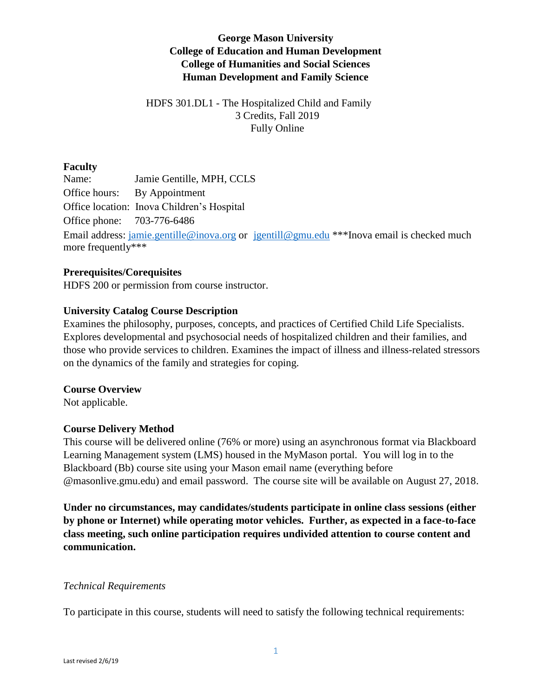# **George Mason University College of Education and Human Development College of Humanities and Social Sciences Human Development and Family Science**

# HDFS 301.DL1 - The Hospitalized Child and Family 3 Credits, Fall 2019 Fully Online

# **Faculty**

Name: Jamie Gentille, MPH, CCLS Office hours: By Appointment Office location: Inova Children's Hospital Office phone: 703-776-6486 Email address: [jamie.gentille@inova.org](mailto:jamie.gentille@inova.org) or [jgentill@gmu.edu](mailto:jgentill@gmu.edu) \*\*\*Inova email is checked much more frequently\*\*\*

## **Prerequisites/Corequisites**

HDFS 200 or permission from course instructor.

## **University Catalog Course Description**

Examines the philosophy, purposes, concepts, and practices of Certified Child Life Specialists. Explores developmental and psychosocial needs of hospitalized children and their families, and those who provide services to children. Examines the impact of illness and illness-related stressors on the dynamics of the family and strategies for coping.

### **Course Overview**

Not applicable.

# **Course Delivery Method**

This course will be delivered online (76% or more) using an asynchronous format via Blackboard Learning Management system (LMS) housed in the MyMason portal. You will log in to the Blackboard (Bb) course site using your Mason email name (everything before @masonlive.gmu.edu) and email password. The course site will be available on August 27, 2018.

**Under no circumstances, may candidates/students participate in online class sessions (either by phone or Internet) while operating motor vehicles. Further, as expected in a face-to-face class meeting, such online participation requires undivided attention to course content and communication.**

### *Technical Requirements*

To participate in this course, students will need to satisfy the following technical requirements: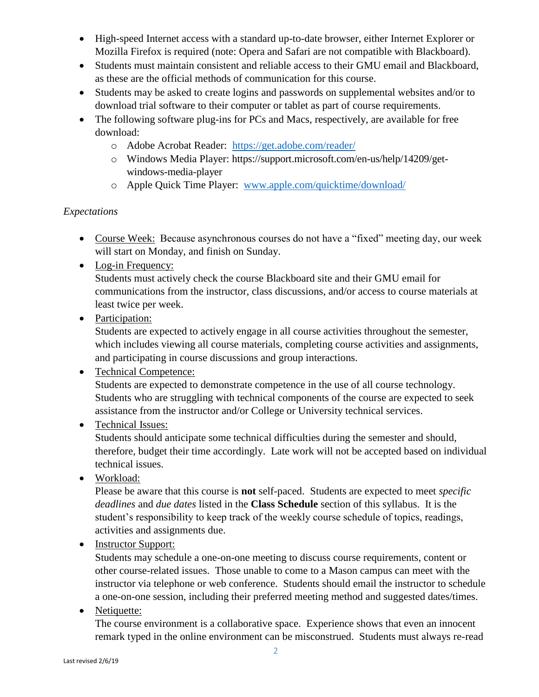- High-speed Internet access with a standard up-to-date browser, either Internet Explorer or Mozilla Firefox is required (note: Opera and Safari are not compatible with Blackboard).
- Students must maintain consistent and reliable access to their GMU email and Blackboard, as these are the official methods of communication for this course.
- Students may be asked to create logins and passwords on supplemental websites and/or to download trial software to their computer or tablet as part of course requirements.
- The following software plug-ins for PCs and Macs, respectively, are available for free download:
	- o Adobe Acrobat Reader: <https://get.adobe.com/reader/>
	- o Windows Media Player: https://support.microsoft.com/en-us/help/14209/getwindows-media-player
	- o Apple Quick Time Player: [www.apple.com/quicktime/download/](http://www.apple.com/quicktime/download/)

# *Expectations*

- Course Week: Because asynchronous courses do not have a "fixed" meeting day, our week will start on Monday, and finish on Sunday.
- Log-in Frequency:

Students must actively check the course Blackboard site and their GMU email for communications from the instructor, class discussions, and/or access to course materials at least twice per week.

• Participation:

Students are expected to actively engage in all course activities throughout the semester, which includes viewing all course materials, completing course activities and assignments, and participating in course discussions and group interactions.

- Technical Competence: Students are expected to demonstrate competence in the use of all course technology. Students who are struggling with technical components of the course are expected to seek assistance from the instructor and/or College or University technical services.
- Technical Issues:

Students should anticipate some technical difficulties during the semester and should, therefore, budget their time accordingly. Late work will not be accepted based on individual technical issues.

Workload:

Please be aware that this course is **not** self-paced. Students are expected to meet *specific deadlines* and *due dates* listed in the **Class Schedule** section of this syllabus. It is the student's responsibility to keep track of the weekly course schedule of topics, readings, activities and assignments due.

• Instructor Support:

Students may schedule a one-on-one meeting to discuss course requirements, content or other course-related issues. Those unable to come to a Mason campus can meet with the instructor via telephone or web conference. Students should email the instructor to schedule a one-on-one session, including their preferred meeting method and suggested dates/times.

• Netiquette:

The course environment is a collaborative space. Experience shows that even an innocent remark typed in the online environment can be misconstrued. Students must always re-read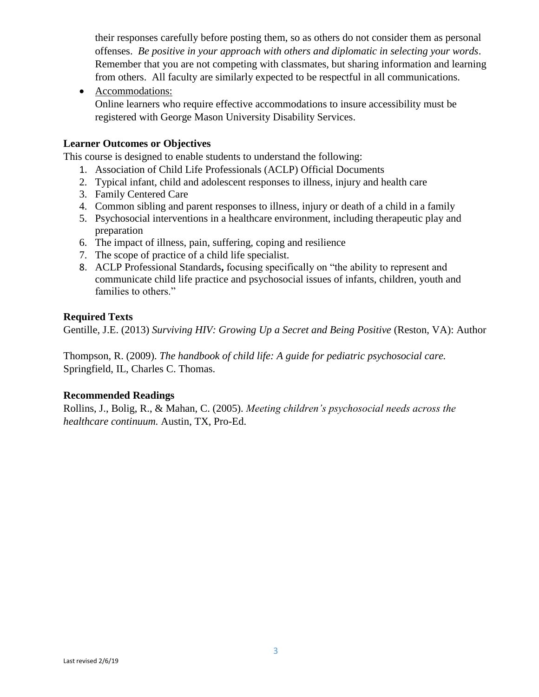their responses carefully before posting them, so as others do not consider them as personal offenses. *Be positive in your approach with others and diplomatic in selecting your words*. Remember that you are not competing with classmates, but sharing information and learning from others. All faculty are similarly expected to be respectful in all communications.

• Accommodations:

Online learners who require effective accommodations to insure accessibility must be registered with George Mason University Disability Services.

# **Learner Outcomes or Objectives**

This course is designed to enable students to understand the following:

- 1. Association of Child Life Professionals (ACLP) Official Documents
- 2. Typical infant, child and adolescent responses to illness, injury and health care
- 3. Family Centered Care
- 4. Common sibling and parent responses to illness, injury or death of a child in a family
- 5. Psychosocial interventions in a healthcare environment, including therapeutic play and preparation
- 6. The impact of illness, pain, suffering, coping and resilience
- 7. The scope of practice of a child life specialist.
- 8. ACLP Professional Standards**,** focusing specifically on "the ability to represent and communicate child life practice and psychosocial issues of infants, children, youth and families to others."

## **Required Texts**

Gentille, J.E. (2013) *Surviving HIV: Growing Up a Secret and Being Positive* (Reston, VA): Author

Thompson, R. (2009). *The handbook of child life: A guide for pediatric psychosocial care.* Springfield, IL, Charles C. Thomas.

### **Recommended Readings**

Rollins, J., Bolig, R., & Mahan, C. (2005). *Meeting children's psychosocial needs across the healthcare continuum.* Austin, TX, Pro-Ed.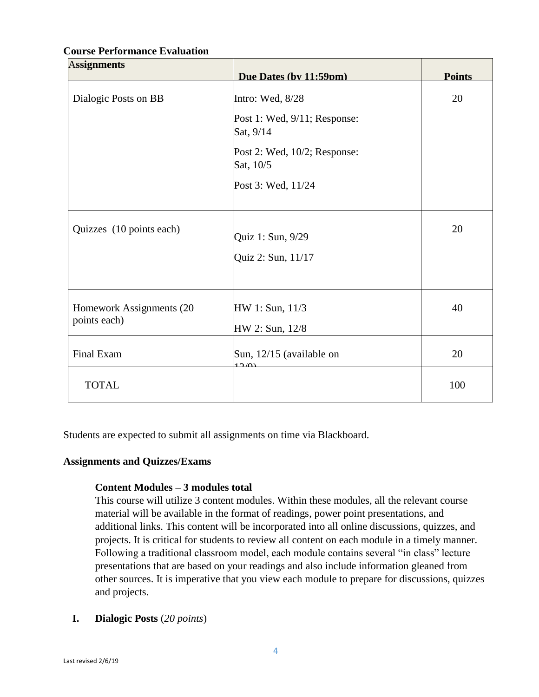| <b>Assignments</b>       |                                           |               |
|--------------------------|-------------------------------------------|---------------|
|                          | Due Dates (by 11:59pm)                    | <b>Points</b> |
| Dialogic Posts on BB     | Intro: Wed, 8/28                          | 20            |
|                          | Post 1: Wed, 9/11; Response:<br>Sat, 9/14 |               |
|                          | Post 2: Wed, 10/2; Response:<br>Sat, 10/5 |               |
|                          | Post 3: Wed, 11/24                        |               |
| Quizzes (10 points each) | Quiz 1: Sun, 9/29                         | 20            |
|                          | Quiz 2: Sun, 11/17                        |               |
| Homework Assignments (20 | HW 1: Sun, 11/3                           | 40            |
| points each)             | HW 2: Sun, 12/8                           |               |
| Final Exam               | Sun, 12/15 (available on<br>12(0)         | 20            |
| <b>TOTAL</b>             |                                           | 100           |

## **Course Performance Evaluation**

Students are expected to submit all assignments on time via Blackboard.

## **Assignments and Quizzes/Exams**

### **Content Modules – 3 modules total**

This course will utilize 3 content modules. Within these modules, all the relevant course material will be available in the format of readings, power point presentations, and additional links. This content will be incorporated into all online discussions, quizzes, and projects. It is critical for students to review all content on each module in a timely manner. Following a traditional classroom model, each module contains several "in class" lecture presentations that are based on your readings and also include information gleaned from other sources. It is imperative that you view each module to prepare for discussions, quizzes and projects.

**I. Dialogic Posts** (*20 points*)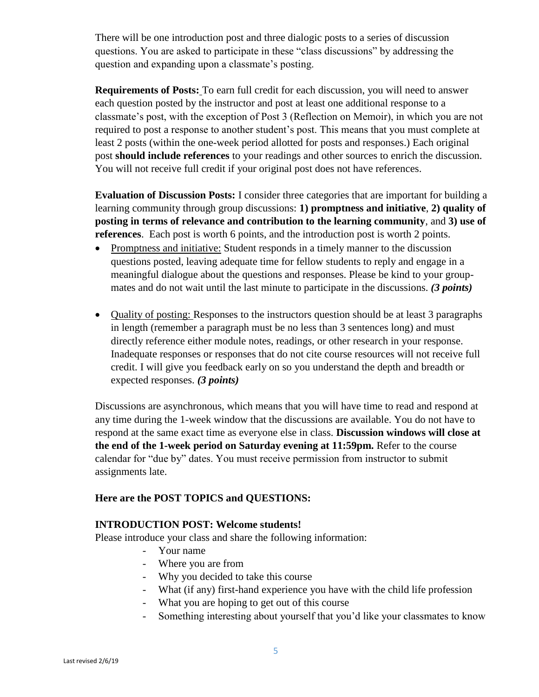There will be one introduction post and three dialogic posts to a series of discussion questions. You are asked to participate in these "class discussions" by addressing the question and expanding upon a classmate's posting.

**Requirements of Posts:** To earn full credit for each discussion, you will need to answer each question posted by the instructor and post at least one additional response to a classmate's post, with the exception of Post 3 (Reflection on Memoir), in which you are not required to post a response to another student's post. This means that you must complete at least 2 posts (within the one-week period allotted for posts and responses.) Each original post **should include references** to your readings and other sources to enrich the discussion. You will not receive full credit if your original post does not have references.

**Evaluation of Discussion Posts:** I consider three categories that are important for building a learning community through group discussions: **1) promptness and initiative**, **2) quality of posting in terms of relevance and contribution to the learning community**, and **3) use of references**. Each post is worth 6 points, and the introduction post is worth 2 points.

- Promptness and initiative: Student responds in a timely manner to the discussion questions posted, leaving adequate time for fellow students to reply and engage in a meaningful dialogue about the questions and responses. Please be kind to your groupmates and do not wait until the last minute to participate in the discussions. *(3 points)*
- Quality of posting: Responses to the instructors question should be at least 3 paragraphs in length (remember a paragraph must be no less than 3 sentences long) and must directly reference either module notes, readings, or other research in your response. Inadequate responses or responses that do not cite course resources will not receive full credit. I will give you feedback early on so you understand the depth and breadth or expected responses. *(3 points)*

Discussions are asynchronous, which means that you will have time to read and respond at any time during the 1-week window that the discussions are available. You do not have to respond at the same exact time as everyone else in class. **Discussion windows will close at the end of the 1-week period on Saturday evening at 11:59pm.** Refer to the course calendar for "due by" dates. You must receive permission from instructor to submit assignments late.

# **Here are the POST TOPICS and QUESTIONS:**

### **INTRODUCTION POST: Welcome students!**

Please introduce your class and share the following information:

- Your name
- Where you are from
- Why you decided to take this course
- What (if any) first-hand experience you have with the child life profession
- What you are hoping to get out of this course
- Something interesting about yourself that you'd like your classmates to know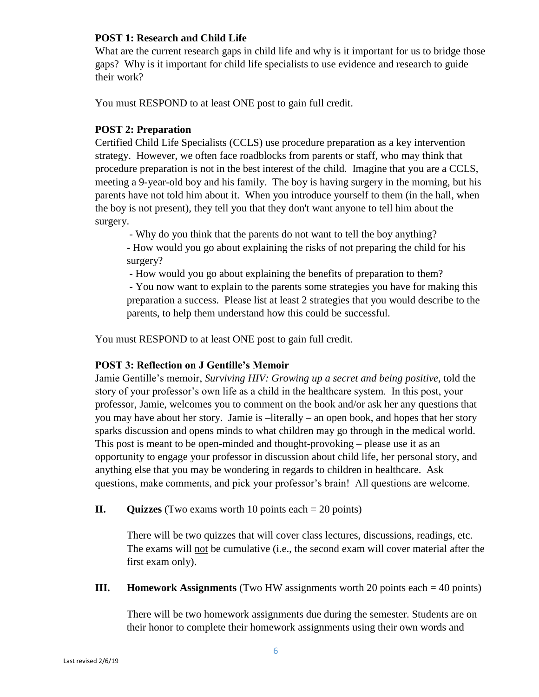## **POST 1: Research and Child Life**

What are the current research gaps in child life and why is it important for us to bridge those gaps? Why is it important for child life specialists to use evidence and research to guide their work?

You must RESPOND to at least ONE post to gain full credit.

# **POST 2: Preparation**

Certified Child Life Specialists (CCLS) use procedure preparation as a key intervention strategy. However, we often face roadblocks from parents or staff, who may think that procedure preparation is not in the best interest of the child. Imagine that you are a CCLS, meeting a 9-year-old boy and his family. The boy is having surgery in the morning, but his parents have not told him about it. When you introduce yourself to them (in the hall, when the boy is not present), they tell you that they don't want anyone to tell him about the surgery.

- Why do you think that the parents do not want to tell the boy anything?

- How would you go about explaining the risks of not preparing the child for his surgery?

- How would you go about explaining the benefits of preparation to them? - You now want to explain to the parents some strategies you have for making this preparation a success. Please list at least 2 strategies that you would describe to the parents, to help them understand how this could be successful.

You must RESPOND to at least ONE post to gain full credit.

# **POST 3: Reflection on J Gentille's Memoir**

Jamie Gentille's memoir, *Surviving HIV: Growing up a secret and being positive,* told the story of your professor's own life as a child in the healthcare system. In this post, your professor, Jamie, welcomes you to comment on the book and/or ask her any questions that you may have about her story. Jamie is –literally – an open book, and hopes that her story sparks discussion and opens minds to what children may go through in the medical world. This post is meant to be open-minded and thought-provoking – please use it as an opportunity to engage your professor in discussion about child life, her personal story, and anything else that you may be wondering in regards to children in healthcare. Ask questions, make comments, and pick your professor's brain! All questions are welcome.

**II. Quizzes** (Two exams worth 10 points each = 20 points)

There will be two quizzes that will cover class lectures, discussions, readings, etc. The exams will not be cumulative (i.e., the second exam will cover material after the first exam only).

**III. Homework Assignments** (Two HW assignments worth 20 points each  $= 40$  points)

There will be two homework assignments due during the semester. Students are on their honor to complete their homework assignments using their own words and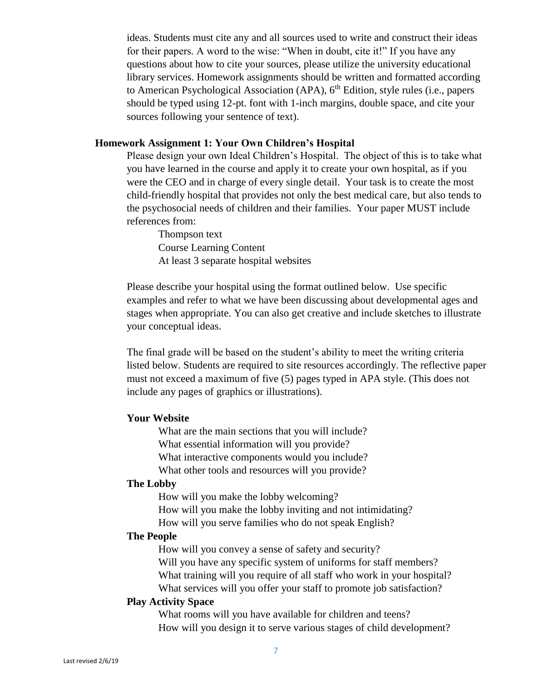ideas. Students must cite any and all sources used to write and construct their ideas for their papers. A word to the wise: "When in doubt, cite it!" If you have any questions about how to cite your sources, please utilize the university educational library services. Homework assignments should be written and formatted according to American Psychological Association (APA),  $6<sup>th</sup>$  Edition, style rules (i.e., papers should be typed using 12-pt. font with 1-inch margins, double space, and cite your sources following your sentence of text).

#### **Homework Assignment 1: Your Own Children's Hospital**

Please design your own Ideal Children's Hospital. The object of this is to take what you have learned in the course and apply it to create your own hospital, as if you were the CEO and in charge of every single detail. Your task is to create the most child-friendly hospital that provides not only the best medical care, but also tends to the psychosocial needs of children and their families. Your paper MUST include references from:

Thompson text Course Learning Content At least 3 separate hospital websites

Please describe your hospital using the format outlined below. Use specific examples and refer to what we have been discussing about developmental ages and stages when appropriate. You can also get creative and include sketches to illustrate your conceptual ideas.

The final grade will be based on the student's ability to meet the writing criteria listed below. Students are required to site resources accordingly. The reflective paper must not exceed a maximum of five (5) pages typed in APA style. (This does not include any pages of graphics or illustrations).

#### **Your Website**

What are the main sections that you will include? What essential information will you provide? What interactive components would you include? What other tools and resources will you provide?

#### **The Lobby**

How will you make the lobby welcoming? How will you make the lobby inviting and not intimidating? How will you serve families who do not speak English?

#### **The People**

How will you convey a sense of safety and security? Will you have any specific system of uniforms for staff members? What training will you require of all staff who work in your hospital? What services will you offer your staff to promote job satisfaction?

#### **Play Activity Space**

What rooms will you have available for children and teens? How will you design it to serve various stages of child development?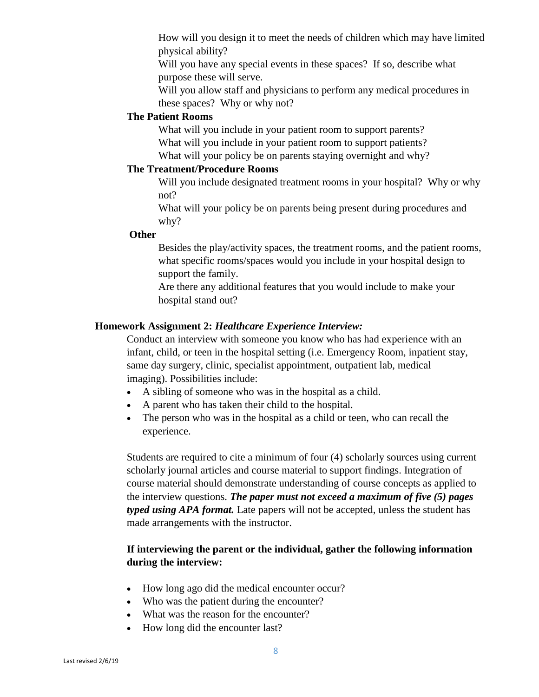How will you design it to meet the needs of children which may have limited physical ability?

Will you have any special events in these spaces? If so, describe what purpose these will serve.

Will you allow staff and physicians to perform any medical procedures in these spaces? Why or why not?

## **The Patient Rooms**

What will you include in your patient room to support parents? What will you include in your patient room to support patients? What will your policy be on parents staying overnight and why?

#### **The Treatment/Procedure Rooms**

Will you include designated treatment rooms in your hospital? Why or why not?

What will your policy be on parents being present during procedures and why?

### **Other**

Besides the play/activity spaces, the treatment rooms, and the patient rooms, what specific rooms/spaces would you include in your hospital design to support the family.

Are there any additional features that you would include to make your hospital stand out?

#### **Homework Assignment 2:** *Healthcare Experience Interview:*

Conduct an interview with someone you know who has had experience with an infant, child, or teen in the hospital setting (i.e. Emergency Room, inpatient stay, same day surgery, clinic, specialist appointment, outpatient lab, medical imaging). Possibilities include:

- A sibling of someone who was in the hospital as a child.
- A parent who has taken their child to the hospital.
- The person who was in the hospital as a child or teen, who can recall the experience.

Students are required to cite a minimum of four (4) scholarly sources using current scholarly journal articles and course material to support findings. Integration of course material should demonstrate understanding of course concepts as applied to the interview questions. *The paper must not exceed a maximum of five (5) pages typed using APA format.* Late papers will not be accepted, unless the student has made arrangements with the instructor.

## **If interviewing the parent or the individual, gather the following information during the interview:**

- How long ago did the medical encounter occur?
- Who was the patient during the encounter?
- What was the reason for the encounter?
- How long did the encounter last?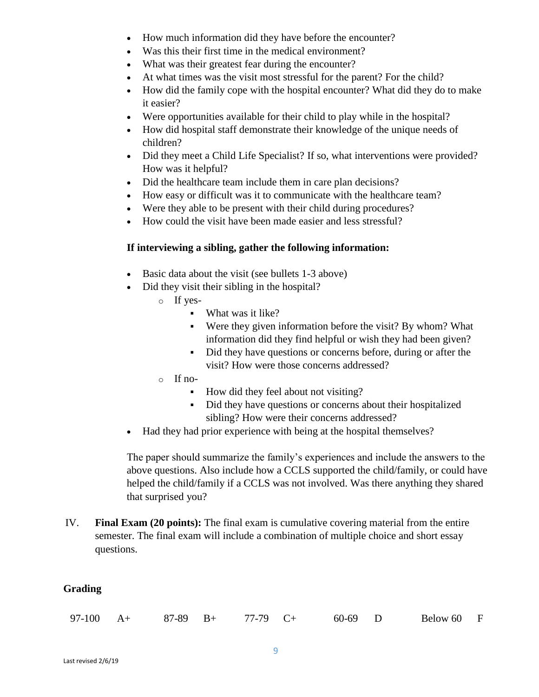- How much information did they have before the encounter?
- Was this their first time in the medical environment?
- What was their greatest fear during the encounter?
- At what times was the visit most stressful for the parent? For the child?
- How did the family cope with the hospital encounter? What did they do to make it easier?
- Were opportunities available for their child to play while in the hospital?
- How did hospital staff demonstrate their knowledge of the unique needs of children?
- Did they meet a Child Life Specialist? If so, what interventions were provided? How was it helpful?
- Did the healthcare team include them in care plan decisions?
- How easy or difficult was it to communicate with the healthcare team?
- Were they able to be present with their child during procedures?
- How could the visit have been made easier and less stressful?

# **If interviewing a sibling, gather the following information:**

- Basic data about the visit (see bullets 1-3 above)
- Did they visit their sibling in the hospital?
	- o If yes-
		- What was it like?
		- Were they given information before the visit? By whom? What information did they find helpful or wish they had been given?
		- Did they have questions or concerns before, during or after the visit? How were those concerns addressed?
	- o If no-
		- How did they feel about not visiting?
		- Did they have questions or concerns about their hospitalized sibling? How were their concerns addressed?
- Had they had prior experience with being at the hospital themselves?

The paper should summarize the family's experiences and include the answers to the above questions. Also include how a CCLS supported the child/family, or could have helped the child/family if a CCLS was not involved. Was there anything they shared that surprised you?

IV. **Final Exam (20 points):** The final exam is cumulative covering material from the entire semester. The final exam will include a combination of multiple choice and short essay questions.

# **Grading**

| $97-100 \t A+$<br>Below 60 F<br>$87-89$ B+<br>77-79 C+<br>60-69 D |  |
|-------------------------------------------------------------------|--|
|-------------------------------------------------------------------|--|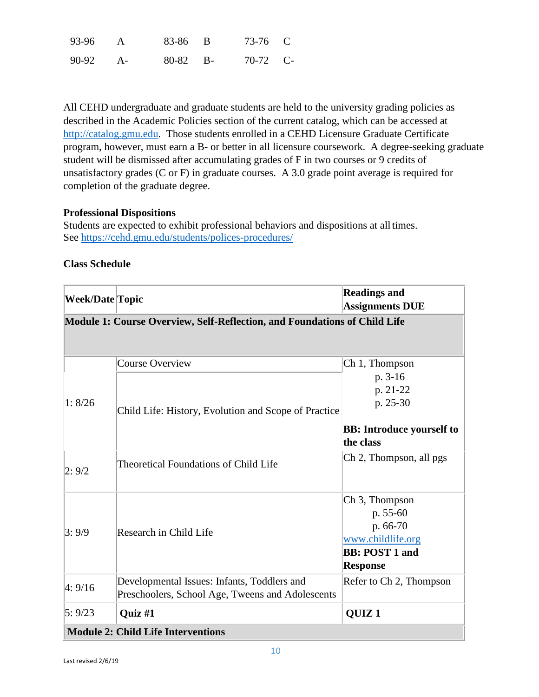| 93-96 | 83-86 B    | 73-76 C  |  |
|-------|------------|----------|--|
| 90-92 | $80-82$ B- | 70-72 C- |  |

All CEHD undergraduate and graduate students are held to the university grading policies as described in the Academic Policies section of the current catalog, which can be accessed at [http://catalog.gmu.edu.](http://catalog.gmu.edu/) Those students enrolled in a CEHD Licensure Graduate Certificate program, however, must earn a B- or better in all licensure coursework. A degree-seeking graduate student will be dismissed after accumulating grades of F in two courses or 9 credits of unsatisfactory grades (C or F) in graduate courses. A 3.0 grade point average is required for completion of the graduate degree.

### **Professional Dispositions**

Students are expected to exhibit professional behaviors and dispositions at alltimes. See<https://cehd.gmu.edu/students/polices-procedures/>

#### **Class Schedule**

| <b>Week/Date Topic</b> |                                                                           | <b>Readings and</b><br><b>Assignments DUE</b>                                                                       |
|------------------------|---------------------------------------------------------------------------|---------------------------------------------------------------------------------------------------------------------|
|                        | Module 1: Course Overview, Self-Reflection, and Foundations of Child Life |                                                                                                                     |
|                        | <b>Course Overview</b>                                                    | Ch 1, Thompson                                                                                                      |
|                        |                                                                           | p. 3-16                                                                                                             |
|                        |                                                                           | p. 21-22                                                                                                            |
| 1:8/26                 | Child Life: History, Evolution and Scope of Practice                      | p. 25-30                                                                                                            |
|                        |                                                                           | <b>BB:</b> Introduce yourself to                                                                                    |
|                        |                                                                           | the class                                                                                                           |
| 2:9/2                  | <b>Theoretical Foundations of Child Life</b>                              | Ch 2, Thompson, all pgs                                                                                             |
| 3:9/9                  | Research in Child Life                                                    | Ch <sub>3</sub> , Thompson<br>p. 55-60<br>p. 66-70<br>www.childlife.org<br><b>BB: POST 1 and</b><br><b>Response</b> |
| 4:9/16                 | Developmental Issues: Infants, Toddlers and                               | Refer to Ch 2, Thompson                                                                                             |
|                        | Preschoolers, School Age, Tweens and Adolescents                          |                                                                                                                     |
| 5:9/23                 | Quiz #1                                                                   | QUIZ <sub>1</sub>                                                                                                   |
|                        | <b>Module 2: Child Life Interventions</b>                                 |                                                                                                                     |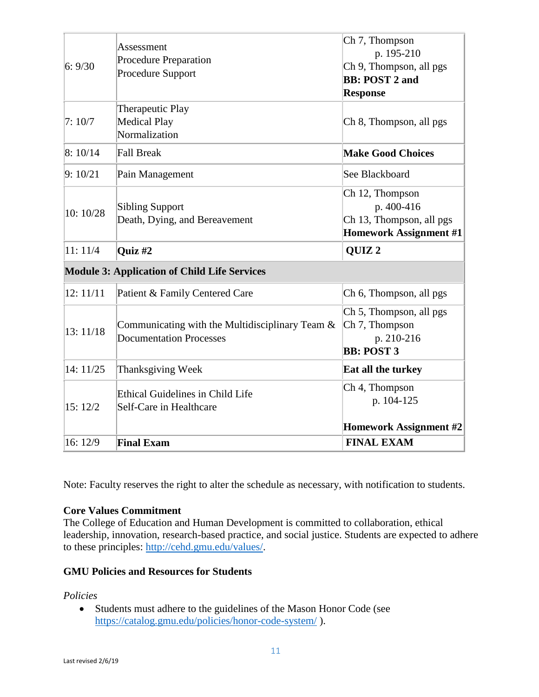| Ch 7, Thompson<br>Assessment<br>p. 195-210<br><b>Procedure Preparation</b><br>6:9/30<br>Procedure Support<br><b>BB: POST 2 and</b><br><b>Response</b><br>Therapeutic Play<br><b>Medical Play</b><br>7:10/7<br>Normalization<br>8:10/14<br><b>Fall Break</b><br><b>Make Good Choices</b><br>9:10/21<br>Pain Management<br>See Blackboard<br>Ch 12, Thompson<br>p. 400-416<br><b>Sibling Support</b><br>10: 10/28<br>Death, Dying, and Bereavement<br>11:11/4<br>QUIZ <sub>2</sub><br>Quiz #2<br><b>Module 3: Application of Child Life Services</b><br>12:11/11<br>Patient & Family Centered Care<br>Ch 7, Thompson<br>Communicating with the Multidisciplinary Team &<br>13:11/18<br><b>Documentation Processes</b><br>p. 210-216<br><b>BB: POST 3</b><br>14: 11/25<br>Thanksgiving Week<br>Eat all the turkey<br>Ch 4, Thompson |                                         |                                                           |
|----------------------------------------------------------------------------------------------------------------------------------------------------------------------------------------------------------------------------------------------------------------------------------------------------------------------------------------------------------------------------------------------------------------------------------------------------------------------------------------------------------------------------------------------------------------------------------------------------------------------------------------------------------------------------------------------------------------------------------------------------------------------------------------------------------------------------------|-----------------------------------------|-----------------------------------------------------------|
|                                                                                                                                                                                                                                                                                                                                                                                                                                                                                                                                                                                                                                                                                                                                                                                                                                  |                                         | Ch 9, Thompson, all pgs                                   |
|                                                                                                                                                                                                                                                                                                                                                                                                                                                                                                                                                                                                                                                                                                                                                                                                                                  |                                         | Ch 8, Thompson, all pgs                                   |
|                                                                                                                                                                                                                                                                                                                                                                                                                                                                                                                                                                                                                                                                                                                                                                                                                                  |                                         |                                                           |
|                                                                                                                                                                                                                                                                                                                                                                                                                                                                                                                                                                                                                                                                                                                                                                                                                                  |                                         |                                                           |
|                                                                                                                                                                                                                                                                                                                                                                                                                                                                                                                                                                                                                                                                                                                                                                                                                                  |                                         | Ch 13, Thompson, all pgs<br><b>Homework Assignment #1</b> |
|                                                                                                                                                                                                                                                                                                                                                                                                                                                                                                                                                                                                                                                                                                                                                                                                                                  |                                         |                                                           |
|                                                                                                                                                                                                                                                                                                                                                                                                                                                                                                                                                                                                                                                                                                                                                                                                                                  |                                         |                                                           |
|                                                                                                                                                                                                                                                                                                                                                                                                                                                                                                                                                                                                                                                                                                                                                                                                                                  |                                         | Ch 6, Thompson, all pgs                                   |
|                                                                                                                                                                                                                                                                                                                                                                                                                                                                                                                                                                                                                                                                                                                                                                                                                                  |                                         | Ch 5, Thompson, all pgs                                   |
|                                                                                                                                                                                                                                                                                                                                                                                                                                                                                                                                                                                                                                                                                                                                                                                                                                  |                                         |                                                           |
| p. 104-125<br>Self-Care in Healthcare<br>15:12/2                                                                                                                                                                                                                                                                                                                                                                                                                                                                                                                                                                                                                                                                                                                                                                                 | <b>Ethical Guidelines in Child Life</b> |                                                           |
| 16:12/9<br><b>Final Exam</b><br><b>FINAL EXAM</b>                                                                                                                                                                                                                                                                                                                                                                                                                                                                                                                                                                                                                                                                                                                                                                                |                                         | <b>Homework Assignment #2</b>                             |

Note: Faculty reserves the right to alter the schedule as necessary, with notification to students.

# **Core Values Commitment**

The College of Education and Human Development is committed to collaboration, ethical leadership, innovation, research-based practice, and social justice. Students are expected to adhere to these principles: [http://cehd.gmu.edu/values/.](http://cehd.gmu.edu/values/)

# **GMU Policies and Resources for Students**

*Policies*

 Students must adhere to the guidelines of the Mason Honor Code (see <https://catalog.gmu.edu/policies/honor-code-system/> ).